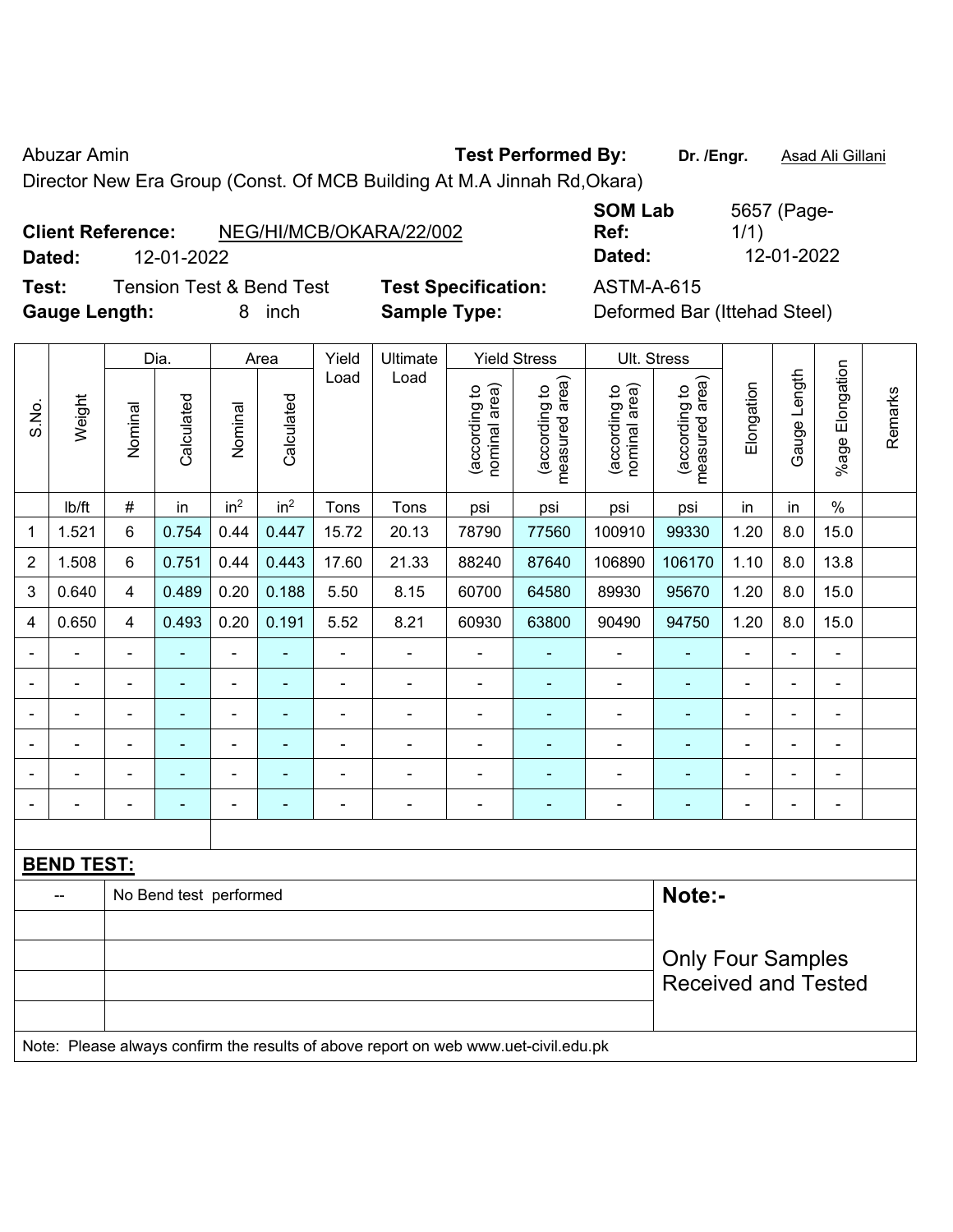Abuzar Amin **Test Performed By:** Dr. /Engr. **Asad Ali Gillani** Abuzar Amin

Director New Era Group (Const. Of MCB Building At M.A Jinnah Rd,Okara)

## **Client Reference:** NEG/HI/MCB/OKARA/22/002

**Test:** Tension Test & Bend Test **Test Specification:** ASTM-A-615 Gauge Length: **8** inch **Sample Type:** Definition

**SOM Lab Ref:**  5657 (Page-1/1) **Dated:** 12-01-2022 **Dated:** 12-01-2022

| Deformed Bar (Ittehad Steel) |  |  |
|------------------------------|--|--|
|------------------------------|--|--|

|                          |                   |                | Dia.                   |                 | Area            | Yield          | Ultimate                                                                            |                                | <b>Yield Stress</b>             |                                | Ult. Stress                     |                          |                |                 |         |
|--------------------------|-------------------|----------------|------------------------|-----------------|-----------------|----------------|-------------------------------------------------------------------------------------|--------------------------------|---------------------------------|--------------------------------|---------------------------------|--------------------------|----------------|-----------------|---------|
| S.No.                    | Weight            | Nominal        | Calculated             | Nominal         | Calculated      | Load           | Load                                                                                | nominal area)<br>(according to | measured area)<br>(according to | nominal area)<br>(according to | measured area)<br>(according to | Elongation               | Gauge Length   | %age Elongation | Remarks |
|                          | Ib/ft             | $\#$           | in                     | in <sup>2</sup> | in <sup>2</sup> | Tons           | Tons                                                                                | psi                            | psi                             | psi                            | psi                             | in                       | in             | $\%$            |         |
| 1                        | 1.521             | 6              | 0.754                  | 0.44            | 0.447           | 15.72          | 20.13                                                                               | 78790                          | 77560                           | 100910                         | 99330                           | 1.20                     | 8.0            | 15.0            |         |
| $\overline{2}$           | 1.508             | 6              | 0.751                  | 0.44            | 0.443           | 17.60          | 21.33                                                                               | 88240                          | 87640                           | 106890                         | 106170                          | 1.10                     | 8.0            | 13.8            |         |
| 3                        | 0.640             | 4              | 0.489                  | 0.20            | 0.188           | 5.50           | 8.15                                                                                | 60700                          | 64580                           | 89930                          | 95670                           | 1.20                     | 8.0            | 15.0            |         |
| $\overline{4}$           | 0.650             | 4              | 0.493                  | 0.20            | 0.191           | 5.52           | 8.21                                                                                | 60930                          | 63800                           | 90490                          | 94750                           | 1.20                     | 8.0            | 15.0            |         |
|                          |                   | $\blacksquare$ | $\blacksquare$         | ÷,              | ÷               | ä,             | $\overline{\phantom{a}}$                                                            | $\blacksquare$                 | $\blacksquare$                  | $\blacksquare$                 | $\blacksquare$                  | $\blacksquare$           | $\blacksquare$ | $\blacksquare$  |         |
|                          | ä,                | $\blacksquare$ | $\blacksquare$         | ä,              | $\blacksquare$  | ä,             | ÷.                                                                                  | $\blacksquare$                 | $\blacksquare$                  | $\blacksquare$                 | ÷                               | $\blacksquare$           | $\blacksquare$ | $\blacksquare$  |         |
| $\overline{\phantom{0}}$ | $\blacksquare$    | $\blacksquare$ | $\blacksquare$         | $\blacksquare$  | $\blacksquare$  | ä,             | $\blacksquare$                                                                      | $\blacksquare$                 | $\blacksquare$                  | $\blacksquare$                 | $\blacksquare$                  | $\blacksquare$           | L,             | $\blacksquare$  |         |
|                          |                   | $\blacksquare$ | $\blacksquare$         | $\blacksquare$  | ÷               | $\blacksquare$ | $\blacksquare$                                                                      | $\blacksquare$                 | ۰                               | $\blacksquare$                 | ۰                               |                          | L,             | Ē,              |         |
|                          |                   |                | $\blacksquare$         | $\blacksquare$  |                 |                |                                                                                     |                                | ۰                               | $\blacksquare$                 | ۰                               |                          |                | $\blacksquare$  |         |
|                          |                   |                |                        | $\blacksquare$  | ÷               |                | ÷                                                                                   | $\blacksquare$                 | ۰                               |                                | ÷                               | $\overline{\phantom{a}}$ | Ē,             | $\blacksquare$  |         |
|                          |                   |                |                        |                 |                 |                |                                                                                     |                                |                                 |                                |                                 |                          |                |                 |         |
|                          | <b>BEND TEST:</b> |                |                        |                 |                 |                |                                                                                     |                                |                                 |                                |                                 |                          |                |                 |         |
|                          |                   |                | No Bend test performed |                 |                 |                |                                                                                     |                                |                                 |                                | Note:-                          |                          |                |                 |         |
|                          |                   |                |                        |                 |                 |                |                                                                                     |                                |                                 |                                |                                 |                          |                |                 |         |
|                          |                   |                |                        |                 |                 |                |                                                                                     |                                |                                 |                                | <b>Only Four Samples</b>        |                          |                |                 |         |
|                          |                   |                |                        |                 |                 |                |                                                                                     |                                |                                 |                                | <b>Received and Tested</b>      |                          |                |                 |         |
|                          |                   |                |                        |                 |                 |                |                                                                                     |                                |                                 |                                |                                 |                          |                |                 |         |
|                          |                   |                |                        |                 |                 |                | Note: Please always confirm the results of above report on web www.uet-civil.edu.pk |                                |                                 |                                |                                 |                          |                |                 |         |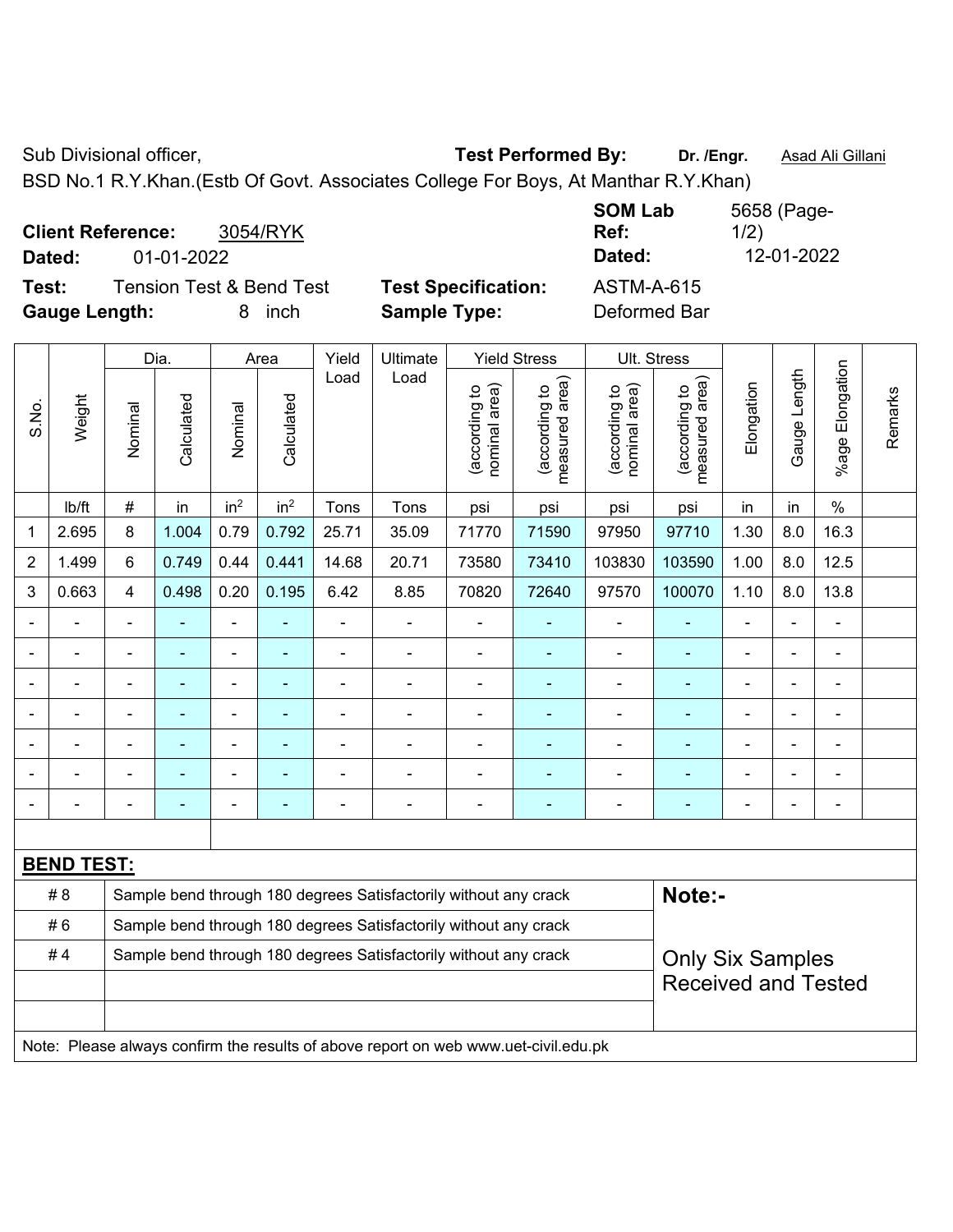Sub Divisional officer, **Test Performed By:** Dr. /Engr. **Asad Ali Gillani** Associated By: Dr. /Engr. **Asad Ali Gillani** 

BSD No.1 R.Y.Khan.(Estb Of Govt. Associates College For Boys, At Manthar R.Y.Khan)

| <b>Client Reference:</b><br>Dated: |            | 3054/RYK                 |                            | <b>SOM Lab</b><br>Ref: | 5658 (Page-<br>1/2) |
|------------------------------------|------------|--------------------------|----------------------------|------------------------|---------------------|
|                                    | 01-01-2022 |                          |                            | Dated:                 | 12-01-2022          |
| Test:                              |            | Tension Test & Bend Test | <b>Test Specification:</b> | <b>ASTM-A-615</b>      |                     |
| <b>Gauge Length:</b>               |            | inch<br>8                | <b>Sample Type:</b>        | Deformed Bar           |                     |

|                |                   |                          | Dia.       | Area                     |                 | Yield          | Ultimate                                                                            |                                | <b>Yield Stress</b>             |                                | Ult. Stress                     |                            |                |                 |         |
|----------------|-------------------|--------------------------|------------|--------------------------|-----------------|----------------|-------------------------------------------------------------------------------------|--------------------------------|---------------------------------|--------------------------------|---------------------------------|----------------------------|----------------|-----------------|---------|
| S.No.          | Weight            | Nominal                  | Calculated | Nominal                  | Calculated      | Load           | Load                                                                                | nominal area)<br>(according to | measured area)<br>(according to | nominal area)<br>(according to | measured area)<br>(according to | Elongation                 | Gauge Length   | %age Elongation | Remarks |
|                | lb/ft             | $\#$                     | in         | in <sup>2</sup>          | in <sup>2</sup> | Tons           | Tons                                                                                | psi                            | psi                             | psi                            | psi                             | in                         | in             | $\%$            |         |
| 1              | 2.695             | 8                        | 1.004      | 0.79                     | 0.792           | 25.71          | 35.09                                                                               | 71770                          | 71590                           | 97950                          | 97710                           | 1.30                       | 8.0            | 16.3            |         |
| $\overline{2}$ | 1.499             | 6                        | 0.749      | 0.44                     | 0.441           | 14.68          | 20.71                                                                               | 73580                          | 73410                           | 103830                         | 103590                          | 1.00                       | 8.0            | 12.5            |         |
| 3              | 0.663             | 4                        | 0.498      | 0.20                     | 0.195           | 6.42           | 8.85                                                                                | 70820                          | 72640                           | 97570                          | 100070                          | 1.10                       | 8.0            | 13.8            |         |
|                |                   | $\blacksquare$           |            | $\blacksquare$           | ÷,              | ÷              | $\blacksquare$                                                                      | $\blacksquare$                 | $\blacksquare$                  | $\blacksquare$                 | Ē,                              | ÷                          | ÷,             | $\blacksquare$  |         |
|                | ٠                 | $\overline{\phantom{a}}$ | ä,         | $\overline{\phantom{0}}$ | ٠               | $\blacksquare$ | $\blacksquare$                                                                      | $\blacksquare$                 | $\blacksquare$                  | $\blacksquare$                 | $\blacksquare$                  | $\blacksquare$             | $\blacksquare$ | $\blacksquare$  |         |
|                |                   | Ē,                       | ä,         | $\blacksquare$           | ä,              | ÷              | $\blacksquare$                                                                      | $\blacksquare$                 | ۰                               | $\blacksquare$                 | $\blacksquare$                  |                            | Ē,             | $\blacksquare$  |         |
|                |                   |                          |            | $\blacksquare$           | $\blacksquare$  | $\blacksquare$ | $\blacksquare$                                                                      | $\blacksquare$                 | ۰                               | $\blacksquare$                 | $\blacksquare$                  |                            |                | $\blacksquare$  |         |
|                |                   |                          |            | ۰                        |                 |                |                                                                                     | $\overline{a}$                 |                                 |                                |                                 |                            |                | $\blacksquare$  |         |
|                |                   |                          | -          | ۰                        | ÷               |                |                                                                                     | $\overline{a}$                 | ۰                               | $\blacksquare$                 | Ē.                              |                            | Ē,             | $\blacksquare$  |         |
|                |                   | $\blacksquare$           | ä,         | $\blacksquare$           | ä,              | ÷              | $\blacksquare$                                                                      | $\blacksquare$                 | ۰                               | $\blacksquare$                 | ۰                               | $\blacksquare$             | L,             | $\blacksquare$  |         |
|                |                   |                          |            |                          |                 |                |                                                                                     |                                |                                 |                                |                                 |                            |                |                 |         |
|                | <b>BEND TEST:</b> |                          |            |                          |                 |                |                                                                                     |                                |                                 |                                |                                 |                            |                |                 |         |
|                | #8                |                          |            |                          |                 |                | Sample bend through 180 degrees Satisfactorily without any crack                    |                                |                                 |                                | Note:-                          |                            |                |                 |         |
|                | #6                |                          |            |                          |                 |                | Sample bend through 180 degrees Satisfactorily without any crack                    |                                |                                 |                                |                                 |                            |                |                 |         |
|                | #4                |                          |            |                          |                 |                | Sample bend through 180 degrees Satisfactorily without any crack                    |                                |                                 |                                | <b>Only Six Samples</b>         |                            |                |                 |         |
|                |                   |                          |            |                          |                 |                |                                                                                     |                                |                                 |                                |                                 | <b>Received and Tested</b> |                |                 |         |
|                |                   |                          |            |                          |                 |                |                                                                                     |                                |                                 |                                |                                 |                            |                |                 |         |
|                |                   |                          |            |                          |                 |                | Note: Please always confirm the results of above report on web www.uet-civil.edu.pk |                                |                                 |                                |                                 |                            |                |                 |         |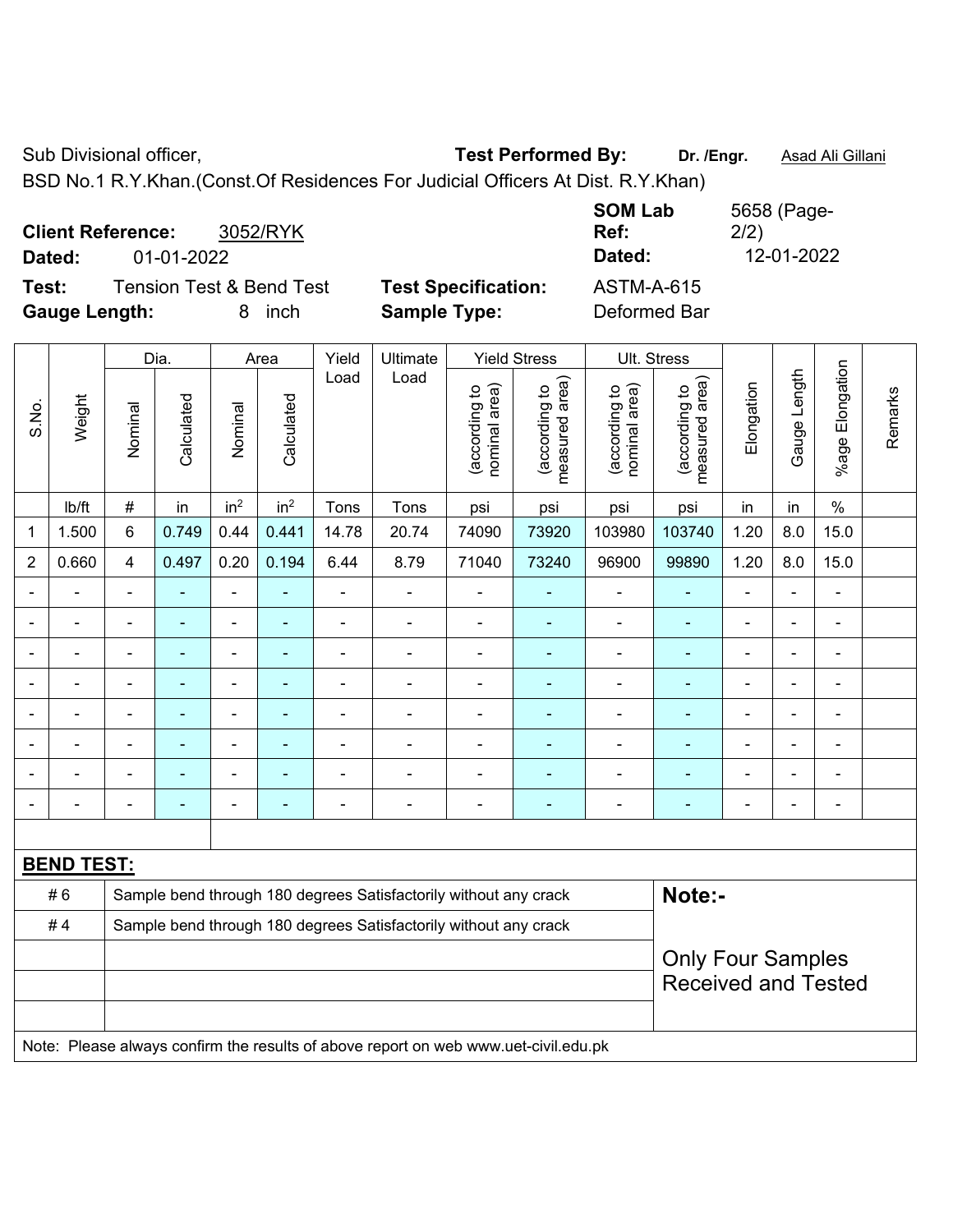Sub Divisional officer, **Test Performed By:** Dr. /Engr. **Asad Ali Gillani** Associated By: Dr. /Engr. **Asad Ali Gillani** 

BSD No.1 R.Y.Khan.(Const.Of Residences For Judicial Officers At Dist. R.Y.Khan)

| 3052/RYK<br><b>Client Reference:</b><br>01-01-2022<br>Dated: | Ref:                       | 5658 (Page-<br><b>SOM Lab</b><br>2/2)<br>12-01-2022<br>Dated: |
|--------------------------------------------------------------|----------------------------|---------------------------------------------------------------|
| <b>Tension Test &amp; Bend Test</b><br>Test:                 | <b>Test Specification:</b> | <b>ASTM-A-615</b>                                             |
| <b>Gauge Length:</b><br>inch<br>8.                           | <b>Sample Type:</b>        | Deformed Bar                                                  |

|                |                   |                                                                  | Dia.                     |                              | Area            | Yield          | Ultimate                                                                            |                                | <b>Yield Stress</b>             |                                | Ult. Stress                     |                          |                |                 |         |
|----------------|-------------------|------------------------------------------------------------------|--------------------------|------------------------------|-----------------|----------------|-------------------------------------------------------------------------------------|--------------------------------|---------------------------------|--------------------------------|---------------------------------|--------------------------|----------------|-----------------|---------|
| S.No.          | Weight            | Nominal                                                          | Calculated               | Nominal                      | Calculated      | Load           | Load                                                                                | nominal area)<br>(according to | measured area)<br>(according to | nominal area)<br>(according to | (according to<br>measured area) | Elongation               | Gauge Length   | %age Elongation | Remarks |
|                | Ib/ft             | $\#$                                                             | in                       | in <sup>2</sup>              | in <sup>2</sup> | Tons           | Tons                                                                                | psi                            | psi                             | psi                            | psi                             | in                       | in             | $\%$            |         |
| $\mathbf 1$    | 1.500             | 6                                                                | 0.749                    | 0.44                         | 0.441           | 14.78          | 20.74                                                                               | 74090                          | 73920                           | 103980                         | 103740                          | 1.20                     | 8.0            | 15.0            |         |
| $\overline{2}$ | 0.660             | 4                                                                | 0.497                    | 0.20                         | 0.194           | 6.44           | 8.79                                                                                | 71040                          | 73240                           | 96900                          | 99890                           | 1.20                     | 8.0            | 15.0            |         |
| $\blacksquare$ |                   | ä,                                                               | ä,                       | ÷,                           | ÷,              | $\frac{1}{2}$  | $\frac{1}{2}$                                                                       | $\blacksquare$                 | ۰                               | $\blacksquare$                 | $\blacksquare$                  | $\blacksquare$           | ä,             | $\blacksquare$  |         |
|                |                   | $\blacksquare$                                                   | ä,                       | $\blacksquare$               | $\blacksquare$  | $\blacksquare$ | $\blacksquare$                                                                      | $\blacksquare$                 | ٠                               | $\blacksquare$                 | $\blacksquare$                  | $\blacksquare$           | $\blacksquare$ | $\blacksquare$  |         |
|                | $\blacksquare$    | ٠                                                                | ÷                        | $\qquad \qquad \blacksquare$ | $\blacksquare$  | $\blacksquare$ | $\overline{\phantom{a}}$                                                            | $\blacksquare$                 | $\blacksquare$                  | $\blacksquare$                 | $\blacksquare$                  | $\overline{a}$           | $\blacksquare$ | $\blacksquare$  |         |
|                |                   | $\overline{\phantom{a}}$                                         | ÷                        | $\blacksquare$               | ۰               | $\blacksquare$ | $\blacksquare$                                                                      | $\blacksquare$                 | ۰                               | $\blacksquare$                 | $\blacksquare$                  |                          | $\blacksquare$ | $\blacksquare$  |         |
|                |                   |                                                                  | ۰                        | ۰                            | ۰               |                | $\blacksquare$                                                                      | $\blacksquare$                 | ۰                               | $\blacksquare$                 | ٠                               |                          | $\blacksquare$ | $\blacksquare$  |         |
|                |                   | $\blacksquare$                                                   | $\blacksquare$           | $\blacksquare$               | $\blacksquare$  |                | $\blacksquare$                                                                      | $\blacksquare$                 | $\blacksquare$                  |                                |                                 | $\overline{\phantom{a}}$ | $\blacksquare$ | $\blacksquare$  |         |
|                |                   |                                                                  | ۰                        | $\blacksquare$               | ۰               |                | $\blacksquare$                                                                      | $\blacksquare$                 | ۰                               |                                | ۳                               | $\overline{\phantom{a}}$ | $\blacksquare$ | $\blacksquare$  |         |
|                |                   | $\overline{\phantom{0}}$                                         | $\overline{\phantom{0}}$ | $\qquad \qquad \blacksquare$ | ۰               | ۰              | $\overline{\phantom{a}}$                                                            | $\blacksquare$                 | ۰                               | $\overline{\phantom{0}}$       | ٠                               | $\overline{a}$           | $\blacksquare$ | $\blacksquare$  |         |
|                |                   |                                                                  |                          |                              |                 |                |                                                                                     |                                |                                 |                                |                                 |                          |                |                 |         |
|                | <b>BEND TEST:</b> |                                                                  |                          |                              |                 |                |                                                                                     |                                |                                 |                                |                                 |                          |                |                 |         |
|                | #6                |                                                                  |                          |                              |                 |                | Sample bend through 180 degrees Satisfactorily without any crack                    |                                |                                 |                                | Note:-                          |                          |                |                 |         |
|                | #4                | Sample bend through 180 degrees Satisfactorily without any crack |                          |                              |                 |                |                                                                                     |                                |                                 |                                |                                 |                          |                |                 |         |
|                |                   | <b>Only Four Samples</b>                                         |                          |                              |                 |                |                                                                                     |                                |                                 |                                |                                 |                          |                |                 |         |
|                |                   |                                                                  |                          |                              |                 |                |                                                                                     |                                |                                 |                                | <b>Received and Tested</b>      |                          |                |                 |         |
|                |                   |                                                                  |                          |                              |                 |                |                                                                                     |                                |                                 |                                |                                 |                          |                |                 |         |
|                |                   |                                                                  |                          |                              |                 |                | Note: Please always confirm the results of above report on web www.uet-civil.edu.pk |                                |                                 |                                |                                 |                          |                |                 |         |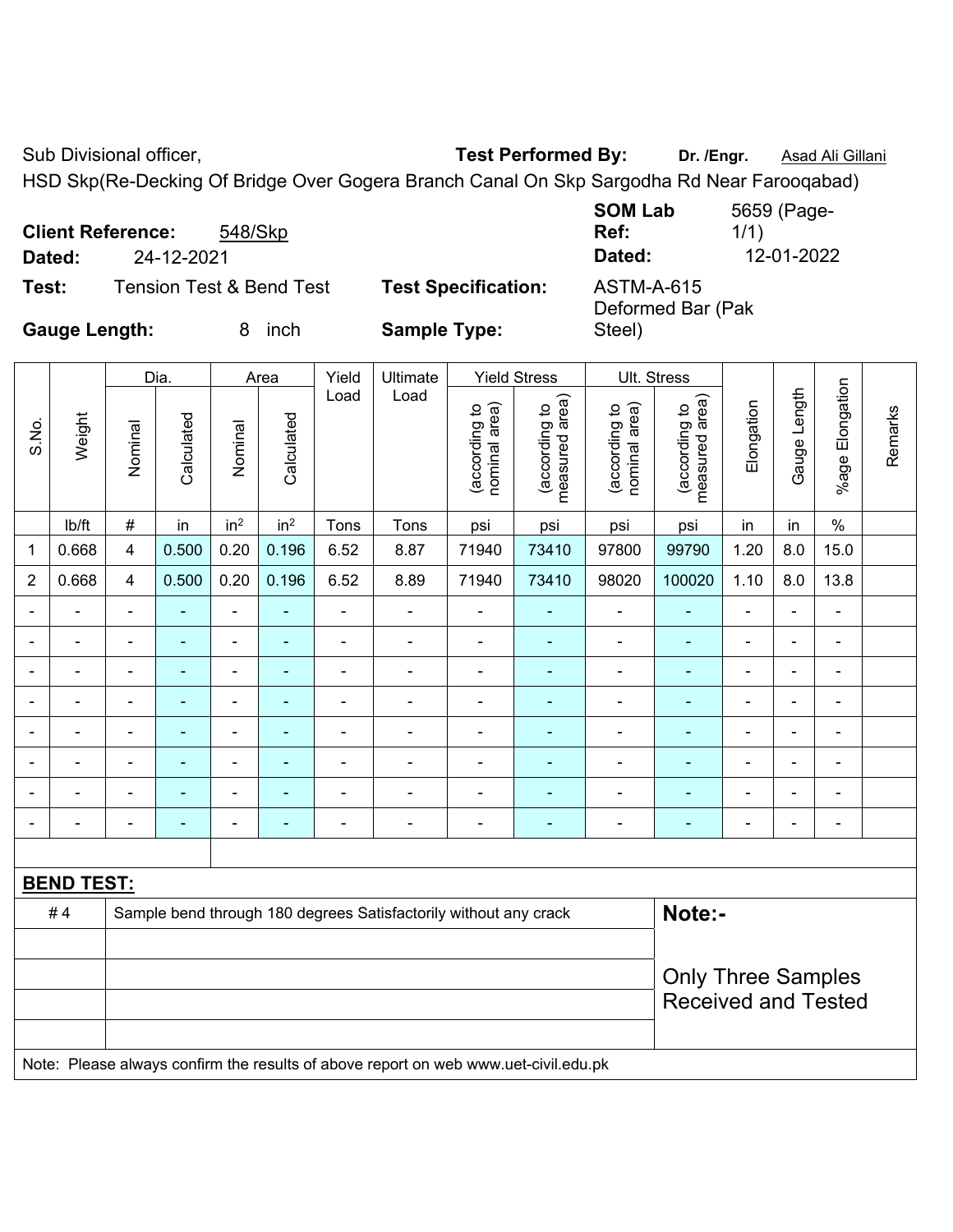Sub Divisional officer, **Test Performed By:** Dr. /Engr. **Asad Ali Gillani** Associated By: Dr. /Engr. **Asad Ali Gillani** 

HSD Skp(Re-Decking Of Bridge Over Gogera Branch Canal On Skp Sargodha Rd Near Farooqabad)

|                      | <b>Client Reference:</b> | 548/Skp                             |                            | <b>SOM Lab</b><br>Ref:                 | 5659 (Page-<br>1/1) |
|----------------------|--------------------------|-------------------------------------|----------------------------|----------------------------------------|---------------------|
| Dated:               | 24-12-2021               |                                     |                            | Dated:                                 | 12-01-2022          |
| Test:                |                          | <b>Tension Test &amp; Bend Test</b> | <b>Test Specification:</b> | <b>ASTM-A-615</b><br>Deformed Bar (Pak |                     |
| <b>Gauge Length:</b> |                          | inch                                | <b>Sample Type:</b>        | Steel)                                 |                     |

|                          |                   |                | Dia.           |                          | Area            | Yield          | Ultimate                                                         |                                | <b>Yield Stress</b>             | Ult. Stress                    |                                 |                           |                |                          |         |
|--------------------------|-------------------|----------------|----------------|--------------------------|-----------------|----------------|------------------------------------------------------------------|--------------------------------|---------------------------------|--------------------------------|---------------------------------|---------------------------|----------------|--------------------------|---------|
| S.No.                    | Weight            | Nominal        | Calculated     | Nominal                  | Calculated      | Load           | Load                                                             | nominal area)<br>(according to | measured area)<br>(according to | nominal area)<br>(according to | measured area)<br>(according to | Elongation                | Gauge Length   | %age Elongation          | Remarks |
|                          | lb/ft             | $\#$           | in             | in <sup>2</sup>          | in <sup>2</sup> | Tons           | Tons                                                             | psi                            | psi                             | psi                            | psi                             | in                        | in             | $\%$                     |         |
| 1                        | 0.668             | 4              | 0.500          | 0.20                     | 0.196           | 6.52           | 8.87                                                             | 71940                          | 73410                           | 97800                          | 99790                           | 1.20                      | 8.0            | 15.0                     |         |
| $\overline{2}$           | 0.668             | $\overline{4}$ | 0.500          | 0.20                     | 0.196           | 6.52           | 8.89                                                             | 71940                          | 73410                           | 98020                          | 100020                          | 1.10                      | 8.0            | 13.8                     |         |
|                          |                   | ä,             |                | $\blacksquare$           | ä,              | $\blacksquare$ | $\blacksquare$                                                   |                                |                                 | ÷                              |                                 | $\blacksquare$            | $\blacksquare$ | $\blacksquare$           |         |
|                          |                   | $\blacksquare$ | $\blacksquare$ | $\blacksquare$           | $\blacksquare$  | $\blacksquare$ | $\blacksquare$                                                   | $\blacksquare$                 | $\blacksquare$                  | $\blacksquare$                 | $\blacksquare$                  | $\blacksquare$            | $\blacksquare$ | $\blacksquare$           |         |
| $\blacksquare$           |                   | $\blacksquare$ | $\blacksquare$ | ۰                        | ۰               | $\blacksquare$ | $\blacksquare$                                                   | $\blacksquare$                 | ٠                               | ۰                              | $\blacksquare$                  | $\blacksquare$            | $\blacksquare$ | $\blacksquare$           |         |
| $\blacksquare$           | $\blacksquare$    | $\blacksquare$ | $\blacksquare$ | $\overline{\phantom{a}}$ | $\blacksquare$  | $\blacksquare$ | $\blacksquare$                                                   | $\blacksquare$                 | $\overline{\phantom{0}}$        | $\overline{\phantom{a}}$       | $\overline{\phantom{0}}$        | $\overline{\phantom{a}}$  | ÷,             | $\blacksquare$           |         |
| $\blacksquare$           | $\blacksquare$    | $\blacksquare$ | $\blacksquare$ | $\blacksquare$           | $\blacksquare$  | $\blacksquare$ | $\blacksquare$                                                   | $\blacksquare$                 | ٠                               | $\overline{\phantom{a}}$       | $\blacksquare$                  | $\blacksquare$            | $\blacksquare$ | $\blacksquare$           |         |
|                          |                   | $\blacksquare$ | ä,             | $\blacksquare$           | ÷               | $\blacksquare$ | $\blacksquare$                                                   | $\blacksquare$                 |                                 | -                              |                                 | $\blacksquare$            | $\blacksquare$ | $\blacksquare$           |         |
|                          |                   |                |                |                          |                 |                |                                                                  |                                |                                 |                                |                                 |                           |                |                          |         |
| $\overline{\phantom{0}}$ |                   | $\blacksquare$ | ۰              | ÷                        | ۰               | Ē,             | $\overline{\phantom{0}}$                                         | $\overline{\phantom{0}}$       | $\overline{\phantom{0}}$        | ۰                              | ٠                               | $\blacksquare$            | $\blacksquare$ | $\overline{\phantom{0}}$ |         |
|                          |                   |                |                |                          |                 |                |                                                                  |                                |                                 |                                |                                 |                           |                |                          |         |
|                          | <b>BEND TEST:</b> |                |                |                          |                 |                |                                                                  |                                |                                 |                                |                                 |                           |                |                          |         |
|                          | #4                |                |                |                          |                 |                | Sample bend through 180 degrees Satisfactorily without any crack |                                |                                 |                                | Note:-                          |                           |                |                          |         |
|                          |                   |                |                |                          |                 |                |                                                                  |                                |                                 |                                |                                 |                           |                |                          |         |
|                          |                   |                |                |                          |                 |                |                                                                  |                                |                                 |                                |                                 | <b>Only Three Samples</b> |                |                          |         |
|                          |                   |                |                |                          |                 |                |                                                                  |                                |                                 |                                | <b>Received and Tested</b>      |                           |                |                          |         |
|                          |                   |                |                |                          |                 |                |                                                                  |                                |                                 |                                |                                 |                           |                |                          |         |
|                          |                   |                |                |                          |                 |                |                                                                  |                                |                                 |                                |                                 |                           |                |                          |         |

Note: Please always confirm the results of above report on web www.uet-civil.edu.pk